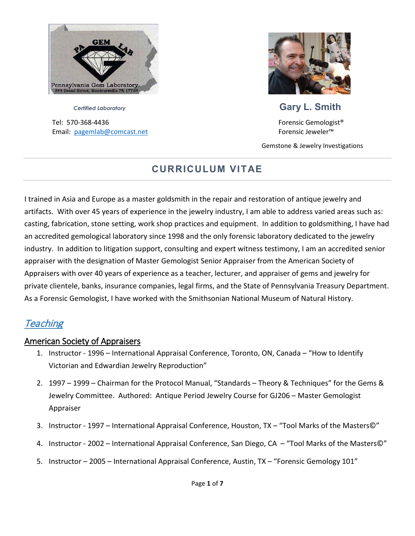

Tel: 570-368-4436 Forensic Gemologist® Email: [pagemlab@comcast.net](mailto:pagemlab@comcast.net) Forensic Jeweler™



# *Certified Laboratory* **Gary L. Smith**

Gemstone & Jewelry Investigations

## **CURRICULUM VITAE**

I trained in Asia and Europe as a master goldsmith in the repair and restoration of antique jewelry and artifacts. With over 45 years of experience in the jewelry industry, I am able to address varied areas such as: casting, fabrication, stone setting, work shop practices and equipment. In addition to goldsmithing, I have had an accredited gemological laboratory since 1998 and the only forensic laboratory dedicated to the jewelry industry. In addition to litigation support, consulting and expert witness testimony, I am an accredited senior appraiser with the designation of Master Gemologist Senior Appraiser from the American Society of Appraisers with over 40 years of experience as a teacher, lecturer, and appraiser of gems and jewelry for private clientele, banks, insurance companies, legal firms, and the State of Pennsylvania Treasury Department. As a Forensic Gemologist, I have worked with the Smithsonian National Museum of Natural History.

## **Teaching**

## American Society of Appraisers

- 1. Instructor 1996 International Appraisal Conference, Toronto, ON, Canada "How to Identify Victorian and Edwardian Jewelry Reproduction"
- 2. 1997 1999 Chairman for the Protocol Manual, "Standards Theory & Techniques" for the Gems & Jewelry Committee. Authored: Antique Period Jewelry Course for GJ206 – Master Gemologist Appraiser
- 3. Instructor 1997 International Appraisal Conference, Houston, TX "Tool Marks of the Masters©"
- 4. Instructor 2002 International Appraisal Conference, San Diego, CA "Tool Marks of the Masters©"
- 5. Instructor 2005 International Appraisal Conference, Austin, TX "Forensic Gemology 101"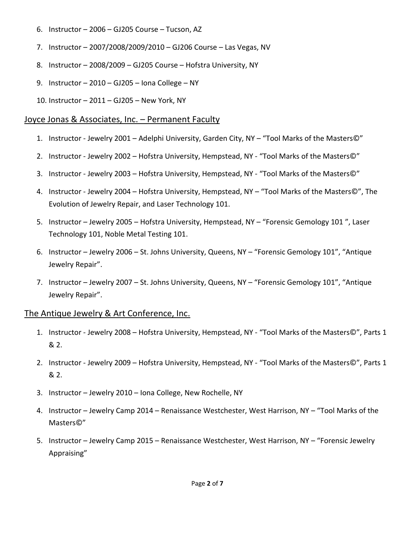- 6. Instructor 2006 GJ205 Course Tucson, AZ
- 7. Instructor 2007/2008/2009/2010 GJ206 Course Las Vegas, NV
- 8. Instructor 2008/2009 GJ205 Course Hofstra University, NY
- 9. Instructor 2010 GJ205 Iona College NY
- 10. Instructor 2011 GJ205 New York, NY

### Joyce Jonas & Associates, Inc. – Permanent Faculty

- 1. Instructor Jewelry 2001 Adelphi University, Garden City, NY "Tool Marks of the Masters©"
- 2. Instructor Jewelry 2002 Hofstra University, Hempstead, NY "Tool Marks of the Masters©"
- 3. Instructor Jewelry 2003 Hofstra University, Hempstead, NY "Tool Marks of the Masters©"
- 4. Instructor Jewelry 2004 Hofstra University, Hempstead, NY "Tool Marks of the Masters©", The Evolution of Jewelry Repair, and Laser Technology 101.
- 5. Instructor Jewelry 2005 Hofstra University, Hempstead, NY "Forensic Gemology 101 ", Laser Technology 101, Noble Metal Testing 101.
- 6. Instructor Jewelry 2006 St. Johns University, Queens, NY "Forensic Gemology 101", "Antique Jewelry Repair".
- 7. Instructor Jewelry 2007 St. Johns University, Queens, NY "Forensic Gemology 101", "Antique Jewelry Repair".

### The Antique Jewelry & Art Conference, Inc.

- 1. Instructor Jewelry 2008 Hofstra University, Hempstead, NY "Tool Marks of the Masters©", Parts 1 & 2.
- 2. Instructor Jewelry 2009 Hofstra University, Hempstead, NY "Tool Marks of the Masters©", Parts 1 & 2.
- 3. Instructor Jewelry 2010 Iona College, New Rochelle, NY
- 4. Instructor Jewelry Camp 2014 Renaissance Westchester, West Harrison, NY "Tool Marks of the Masters©"
- 5. Instructor Jewelry Camp 2015 Renaissance Westchester, West Harrison, NY "Forensic Jewelry Appraising"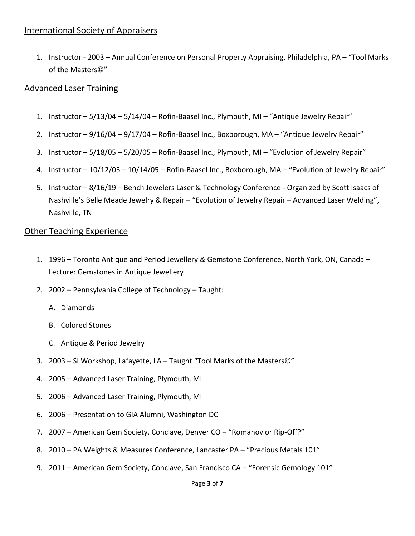## International Society of Appraisers

1. Instructor - 2003 – Annual Conference on Personal Property Appraising, Philadelphia, PA – "Tool Marks of the Masters©"

### Advanced Laser Training

- 1. Instructor 5/13/04 5/14/04 Rofin-Baasel Inc., Plymouth, MI "Antique Jewelry Repair"
- 2. Instructor 9/16/04 9/17/04 Rofin-Baasel Inc., Boxborough, MA "Antique Jewelry Repair"
- 3. Instructor 5/18/05 5/20/05 Rofin-Baasel Inc., Plymouth, MI "Evolution of Jewelry Repair"
- 4. Instructor 10/12/05 10/14/05 Rofin-Baasel Inc., Boxborough, MA "Evolution of Jewelry Repair"
- 5. Instructor 8/16/19 Bench Jewelers Laser & Technology Conference Organized by Scott Isaacs of Nashville's Belle Meade Jewelry & Repair – "Evolution of Jewelry Repair – Advanced Laser Welding", Nashville, TN

### **Other Teaching Experience**

- 1. 1996 Toronto Antique and Period Jewellery & Gemstone Conference, North York, ON, Canada Lecture: Gemstones in Antique Jewellery
- 2. 2002 Pennsylvania College of Technology Taught:
	- A. Diamonds
	- B. Colored Stones
	- C. Antique & Period Jewelry
- 3. 2003 SI Workshop, Lafayette, LA Taught "Tool Marks of the Masters©"
- 4. 2005 Advanced Laser Training, Plymouth, MI
- 5. 2006 Advanced Laser Training, Plymouth, MI
- 6. 2006 Presentation to GIA Alumni, Washington DC
- 7. 2007 American Gem Society, Conclave, Denver CO "Romanov or Rip-Off?"
- 8. 2010 PA Weights & Measures Conference, Lancaster PA "Precious Metals 101"
- 9. 2011 American Gem Society, Conclave, San Francisco CA "Forensic Gemology 101"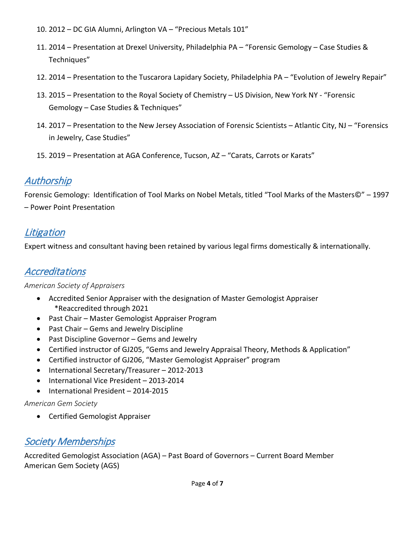- 10. 2012 DC GIA Alumni, Arlington VA "Precious Metals 101"
- 11. 2014 Presentation at Drexel University, Philadelphia PA "Forensic Gemology Case Studies & Techniques"
- 12. 2014 Presentation to the Tuscarora Lapidary Society, Philadelphia PA "Evolution of Jewelry Repair"
- 13. 2015 Presentation to the Royal Society of Chemistry US Division, New York NY "Forensic Gemology – Case Studies & Techniques"
- 14. 2017 Presentation to the New Jersey Association of Forensic Scientists Atlantic City, NJ "Forensics in Jewelry, Case Studies"
- 15. 2019 Presentation at AGA Conference, Tucson, AZ "Carats, Carrots or Karats"

# Authorship

Forensic Gemology: Identification of Tool Marks on Nobel Metals, titled "Tool Marks of the Masters©" – 1997 – Power Point Presentation

## **Litigation**

Expert witness and consultant having been retained by various legal firms domestically & internationally.

# **Accreditations**

#### *American Society of Appraisers*

- Accredited Senior Appraiser with the designation of Master Gemologist Appraiser \*Reaccredited through 2021
- Past Chair Master Gemologist Appraiser Program
- Past Chair Gems and Jewelry Discipline
- Past Discipline Governor Gems and Jewelry
- Certified instructor of GJ205, "Gems and Jewelry Appraisal Theory, Methods & Application"
- Certified instructor of GJ206, "Master Gemologist Appraiser" program
- International Secretary/Treasurer 2012-2013
- International Vice President 2013-2014
- International President 2014-2015

#### *American Gem Society*

• Certified Gemologist Appraiser

# **Society Memberships**

Accredited Gemologist Association (AGA) – Past Board of Governors – Current Board Member American Gem Society (AGS)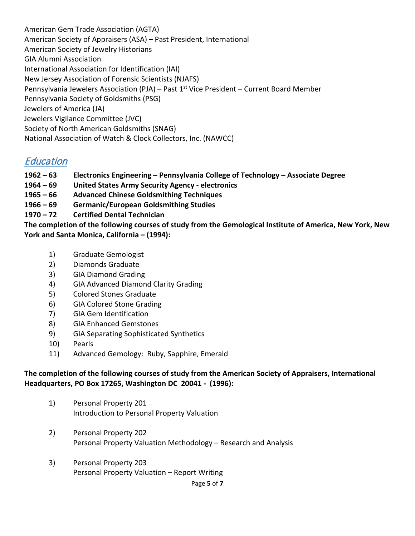American Gem Trade Association (AGTA) American Society of Appraisers (ASA) – Past President, International American Society of Jewelry Historians GIA Alumni Association International Association for Identification (IAI) New Jersey Association of Forensic Scientists (NJAFS) Pennsylvania Jewelers Association (PJA) - Past 1<sup>st</sup> Vice President - Current Board Member Pennsylvania Society of Goldsmiths (PSG) Jewelers of America (JA) Jewelers Vigilance Committee (JVC) Society of North American Goldsmiths (SNAG) National Association of Watch & Clock Collectors, Inc. (NAWCC)

## **Education**

- **1962 – 63 Electronics Engineering – Pennsylvania College of Technology – Associate Degree**
- **1964 – 69 United States Army Security Agency - electronics**
- **1965 – 66 Advanced Chinese Goldsmithing Techniques**
- **1966 – 69 Germanic/European Goldsmithing Studies**
- **1970 – 72 Certified Dental Technician**

**The completion of the following courses of study from the Gemological Institute of America, New York, New York and Santa Monica, California – (1994):**

- 1) Graduate Gemologist
- 2) Diamonds Graduate
- 3) GIA Diamond Grading
- 4) GIA Advanced Diamond Clarity Grading
- 5) Colored Stones Graduate
- 6) GIA Colored Stone Grading
- 7) GIA Gem Identification
- 8) GIA Enhanced Gemstones
- 9) GIA Separating Sophisticated Synthetics
- 10) Pearls
- 11) Advanced Gemology: Ruby, Sapphire, Emerald

#### **The completion of the following courses of study from the American Society of Appraisers, International Headquarters, PO Box 17265, Washington DC 20041 - (1996):**

- 1) Personal Property 201 Introduction to Personal Property Valuation
- 2) Personal Property 202 Personal Property Valuation Methodology – Research and Analysis
- 3) Personal Property 203 Personal Property Valuation – Report Writing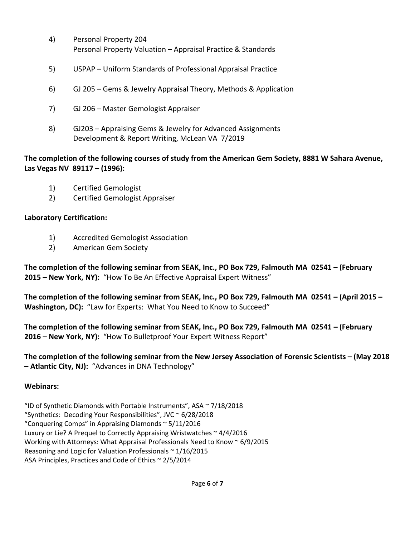- 4) Personal Property 204 Personal Property Valuation – Appraisal Practice & Standards
- 5) USPAP Uniform Standards of Professional Appraisal Practice
- 6) GJ 205 Gems & Jewelry Appraisal Theory, Methods & Application
- 7) GJ 206 Master Gemologist Appraiser
- 8) GJ203 Appraising Gems & Jewelry for Advanced Assignments Development & Report Writing, McLean VA 7/2019

### **The completion of the following courses of study from the American Gem Society, 8881 W Sahara Avenue, Las Vegas NV 89117 – (1996):**

- 1) Certified Gemologist
- 2) Certified Gemologist Appraiser

## **Laboratory Certification:**

- 1) Accredited Gemologist Association
- 2) American Gem Society

**The completion of the following seminar from SEAK, Inc., PO Box 729, Falmouth MA 02541 – (February 2015 – New York, NY):** "How To Be An Effective Appraisal Expert Witness"

**The completion of the following seminar from SEAK, Inc., PO Box 729, Falmouth MA 02541 – (April 2015 – Washington, DC):** "Law for Experts: What You Need to Know to Succeed"

**The completion of the following seminar from SEAK, Inc., PO Box 729, Falmouth MA 02541 – (February 2016 – New York, NY):** "How To Bulletproof Your Expert Witness Report"

**The completion of the following seminar from the New Jersey Association of Forensic Scientists – (May 2018 – Atlantic City, NJ):** "Advances in DNA Technology"

### **Webinars:**

"ID of Synthetic Diamonds with Portable Instruments", ASA ~ 7/18/2018 "Synthetics: Decoding Your Responsibilities", JVC ~ 6/28/2018 "Conquering Comps" in Appraising Diamonds ~ 5/11/2016 Luxury or Lie? A Prequel to Correctly Appraising Wristwatches ~ 4/4/2016 Working with Attorneys: What Appraisal Professionals Need to Know ~ 6/9/2015 Reasoning and Logic for Valuation Professionals  $\sim$  1/16/2015 ASA Principles, Practices and Code of Ethics ~ 2/5/2014